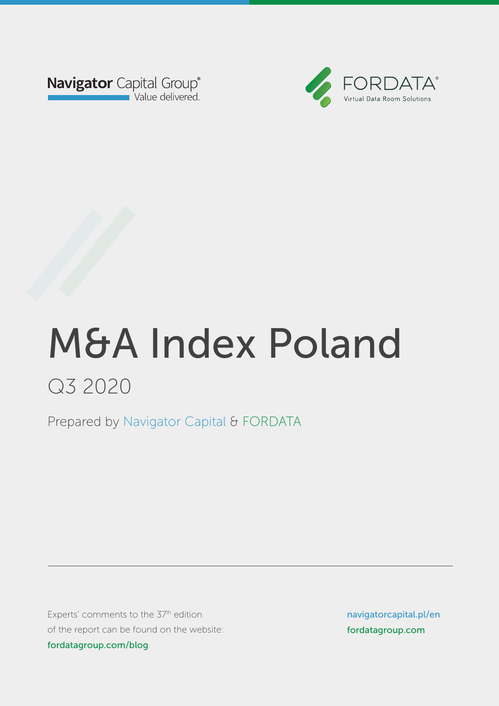



Prepared by Navigator Capital & FORDATA Prepared by Navigator Capital & FORDATA

Experts' comments to the 37<sup>th</sup> edition of the report can be found on the website: fordatagroup.com/blog

navigatorcapital.p/en navigatorcapital.pl/en fordatagroup.com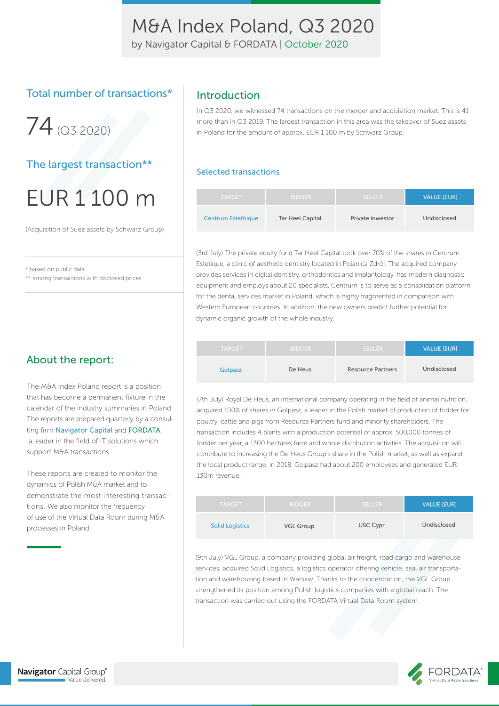by Navigator Capital & FORDATA | October 2020

### Total number of transactions\*



### The largest transaction\*\*

# EUR 1 100 m

(Acquisition of Suez assets by Schwarz Group)

\* based on public data

\*\* among transactions with disclosed prices

### About the report:

The M&A Index Poland report is a position that has become a permanent fixture in the calendar of the industry summaries in Poland. The reports are prepared quarterly by a consulting firm Navigator Capital and FORDATA, a leader in the field of IT solutions which support M&A transactions.

These reports are created to monitor the dynamics of Polish M&A market and to demonstrate the most interesting transactions. We also monitor the frequency of use of the Virtual Data Room during M&A processes in Poland.

### Introduction

In Q3 2020, we witnessed 74 transactions on the merger and acquisition market. This is 41 more than in Q3 2019. The largest transaction in this area was the takeover of Suez assets in Poland for the amount of approx. EUR 1 100 m by Schwarz Group.

#### Selected transactions

| <b>TARGET</b>             | <b>BIDDER</b>    | <b>SELLER</b>    | <b>VALUE [EUR]</b> |
|---------------------------|------------------|------------------|--------------------|
| <b>Centrum Estethique</b> | Tar Heel Capital | Private inwestor | Undisclosed        |

(3rd July) The private equity fund Tar Heel Capital took over 70% of the shares in Centrum Estetique, a clinic of aesthetic dentistry located in Polanica Zdrój. The acquired company provides services in digital dentistry, orthodontics and implantology, has modern diagnostic equipment and employs about 20 specialists. Centrum is to serve as a consolidation platform for the dental services market in Poland, which is highly fragmented in comparison with Western European countries. In addition, the new owners predict further potential for dynamic organic growth of the whole industry.

| <b>TARGET</b> | <b>BIDDER</b> | <b>SELLER</b>            | <b>VALUE [EUR]</b> |
|---------------|---------------|--------------------------|--------------------|
| Golpasz       | De Heus       | <b>Resource Partners</b> | Undisclosed        |

(7th July) Royal De Heus, an international company operating in the field of animal nutrition, acquired 100% of shares in Golpasz, a leader in the Polish market of production of fodder for poultry, cattle and pigs from Resource Partners fund and minority shareholders. The transaction includes 4 plants with a production potential of approx. 500,000 tonnes of fodder per year, a 1300 hectares farm and whole distribution activities. The acquisition will contribute to increasing the De Heus Group's share in the Polish market, as well as expand the local product range. In 2018, Golpasz had about 200 employees and generated EUR 130m revenue.

| <b>TARGET</b>          | <b>BIDDER</b>    | <b>SELLER</b> | <b>VALUE [EUR]</b> |
|------------------------|------------------|---------------|--------------------|
| <b>Solid Logistics</b> | <b>VGL Group</b> | USC Cypr      | Undisclosed        |

(9th July) VGL Group, a company providing global air freight, road cargo and warehouse services, acquired Solid Logistics, a logistics operator offering vehicle, sea, air transportation and warehousing based in Warsaw. Thanks to the concentration, the VGL Group strengthened its position among Polish logistics companies with a global reach. The transaction was carried out using the FORDATA Virtual Data Room system.

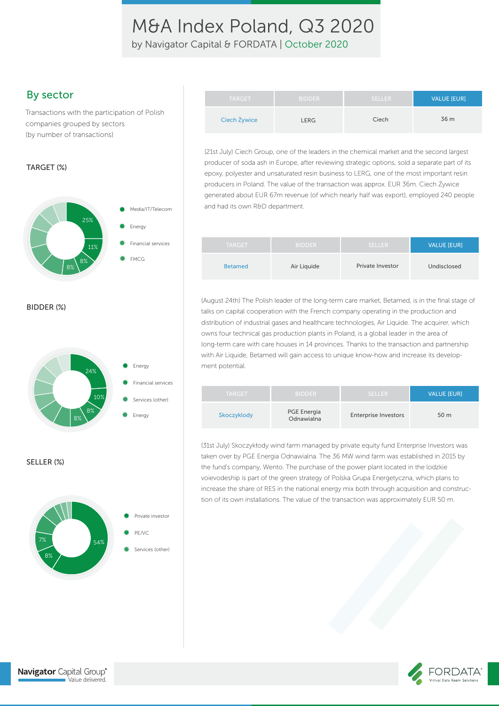by Navigator Capital & FORDATA | October 2020

### By sector

Transactions with the participation of Polish companies grouped by sectors (by number of transactions)

#### TARGET (%)



BIDDER (%)



#### SELLER (%)



| <b>TARGET</b> | <b>BIDDER</b> | <b>SELLER</b> | <b>VALUE [EUR]</b> |
|---------------|---------------|---------------|--------------------|
| Ciech Żywice  | <b>LERG</b>   | Ciech         | 36 m               |

(21st July) Ciech Group, one of the leaders in the chemical market and the second largest producer of soda ash in Europe, after reviewing strategic options, sold a separate part of its epoxy, polyester and unsaturated resin business to LERG, one of the most important resin producers in Poland. The value of the transaction was approx. EUR 36m. Ciech Żywice generated about EUR 67m revenue (of which nearly half was export), employed 240 people and had its own R&D department.

| <b>TARGET</b>  | <b>BIDDER</b> | <b>SELLER</b>    | <b>VALUE [EUR]</b> |
|----------------|---------------|------------------|--------------------|
| <b>Betamed</b> | Air Liquide   | Private Investor | Undisclosed        |

(August 24th) The Polish leader of the long-term care market, Betamed, is in the final stage of talks on capital cooperation with the French company operating in the production and distribution of industrial gases and healthcare technologies, Air Liquide. The acquirer, which owns four technical gas production plants in Poland, is a global leader in the area of long-term care with care houses in 14 provinces. Thanks to the transaction and partnership with Air Liquide, Betamed will gain access to unique know-how and increase its development potential.

| <b>TARGET</b> | <b>BIDDER</b>                    | <b>SELLER</b>               | <b>VALUE [EUR]</b> |
|---------------|----------------------------------|-----------------------------|--------------------|
| Skoczyklody   | <b>PGE Energia</b><br>Odnawialna | <b>Enterprise Investors</b> | 50 m               |

(31st July) Skoczykłody wind farm managed by private equity fund Enterprise Investors was taken over by PGE Energia Odnawialna. The 36 MW wind farm was established in 2015 by the fund's company, Wento. The purchase of the power plant located in the lodzkie voievodeship is part of the green strategy of Polska Grupa Energetyczna, which plans to increase the share of RES in the national energy mix both through acquisition and construction of its own installations. The value of the transaction was approximately EUR 50 m.

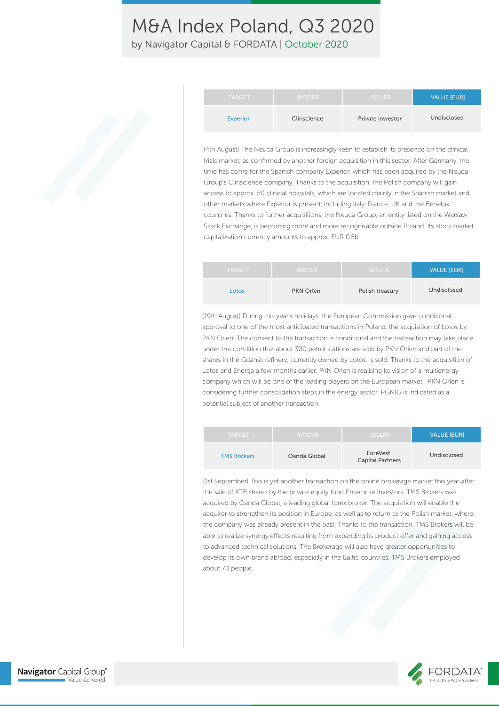by Navigator Capital & FORDATA | October 2020

| <b>TARGET</b>   | <b>BIDDER</b> | SELLER.          | <b>VALUE [EUR]</b> |
|-----------------|---------------|------------------|--------------------|
| <b>Experior</b> | Clinscience   | Private inwestor | Undisclosed        |

(4th August) The Neuca Group is increasingly keen to establish its presence on the clinical trials market, as confirmed by another foreign acquisition in this sector. After Germany, the time has come for the Spanish company Experior, which has been acquired by the Neuca Group's Clinscience company. Thanks to the acquisition, the Polish company will gain access to approx. 50 clinical hospitals, which are located mainly in the Spanish market and other markets where Experior is present, including Italy, France, UK and the Benelux countries. Thanks to further acquisitions, the Neuca Group, an entity listed on the Warsaw Stock Exchange, is becoming more and more recognisable outside Poland. Its stock market capitalization currently amounts to approx. EUR 0.5b.

| <b>TARGET</b> | <b>BIDDER</b> | <b>SELLER</b>   | <b>VALUE [EUR]</b> |
|---------------|---------------|-----------------|--------------------|
| Lotos         | PKN Orlen     | Polish treasury | Undisclosed        |

(19th August) During this year's holidays, the European Commission gave conditional approval to one of the most anticipated transactions in Poland, the acquisition of Lotos by PKN Orlen. The consent to the transaction is conditional and the transaction may take place under the condition that about 300 petrol stations are sold by PKN Orlen and part of the shares in the Gdansk refinery, currently owned by Lotos, is sold. Thanks to the acquisition of Lotos and Energa a few months earlier, PKN Orlen is realising its vision of a multienergy company which will be one of the leading players on the European market. PKN Orlen is considering further consolidation steps in the energy sector. PGNIG is indicated as a potential subject of another transaction.

| <b>TARGET</b>      | <b>BIDDER</b> | <b>SELLER</b>                       | <b>VALUE IEURI</b> |
|--------------------|---------------|-------------------------------------|--------------------|
| <b>TMS Brokers</b> | Oanda Global  | ForeVest<br><b>Capital Partners</b> | Undisclosed        |

(1st September) This is yet another transaction on the online brokerage market this year after the sale of XTB shares by the private equity fund Enterprise Investors. TMS Brokers was acquired by Oanda Global, a leading global forex broker. The acquisition will enable the acquirer to strengthen its position in Europe, as well as to return to the Polish market, where the company was already present in the past. Thanks to the transaction, TMS Brokers will be able to realize synergy effects resulting from expanding its product offer and gaining access to advanced technical solutions. The Brokerage will also have greater opportunities to develop its own brand abroad, especially in the Baltic countries. TMS Brokers employed about 70 people.

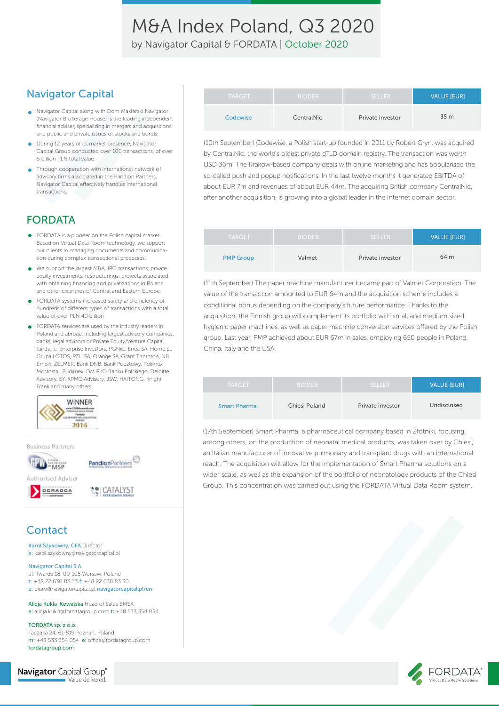by Navigator Capital & FORDATA | October 2020

### Navigator Capital

- Navigator Capital along with Dom Maklerski Navigator (Navigator Brokerage House) is the leading independent financial adviser, specializing in mergers and acquisitions and public and private issues of stocks and bonds.
- **During 12 years of its market presence, Navigator** Capital Group conducted over 100 transactions, of over 6 billion PLN total value.
- Through cooperation with international network of advisory firms associated in the Pandion Partners, Navigator Capital effectively handles international transactions.

### FORDATA

- FORDATA is a pioneer on the Polish capital market. Based on Virtual Data Room technology, we support our clients in managing documents and communication during complex transactional processes.
- We support the largest M&A, IPO transactions, private  $\bullet$ equity investments, restructurings, projects associated with obtaining financing and privatizations in Poland and other countries of Central and Eastern Europe.
- FORDATA systems increased safety and efficiency of hundreds of different types of transactions with a total value of over PLN 40 billion
- FORDATA services are used by the industry leaders in Poland and abroad, including largest advisory companies, banks, legal advisors or Private Equity/Venture Capital funds, ie. Enterprise Investors, PGNiG, Enea SA, Home.pl, Grupa LOTOS, PZU SA, Orange SA, Grant Thornton, NFI Empik, ZELMER, Bank DNB, Bank Pocztowy, Polimex Mostostal, Budimex, DM PKO Banku Polskiego, Deloitte Advisory, EY, KPMG Advisory, JSW, HAITONG, Knight Frank and many others.

**LE CATALYST** 



Authorised Adviser



## **Contact**

Karol Szykowny, CFA Director e: karol.szykowny@navigatorcapital.pl

#### Navigator Capital S.A.

ul. Twarda 18, 00-105 Warsaw, Poland t: +48 22 630 83 33 f: +48 22 630 83 30 e: biuro@navigatorcapital.pl navigatorcapital.pl/en

Alicja Kukla-Kowalska Head of Sales EMEA e: alicja.kukla@fordatagroup.com t: +48 533 354 054

FORDATA sp. z o.o. Taczaka 24, 61-819 Poznań, Poland m: +48 533 354 054 e: office@fordatagroup.com fordatagroup.com

| Navigator Capital Group® |                  |
|--------------------------|------------------|
|                          | Value delivered. |

| <b>TARGET</b> | <b>BIDDER</b> | <b>SELLER</b>    | VALUE [EUR] |
|---------------|---------------|------------------|-------------|
| Codewise      | CentralNic    | Private investor | 35 m        |

(10th September) Codewise, a Polish start-up founded in 2011 by Robert Gryn, was acquired by CentralNic, the world's oldest private gTLD domain registry. The transaction was worth USD 36m. The Krakow-based company deals with online marketing and has popularised the so-called push and popup notifications. In the last twelve months it generated EBITDA of about EUR 7m and revenues of about EUR 44m. The acquiring British company CentralNic, after another acquisition, is growing into a global leader in the Internet domain sector.

| <b>TARGET</b>    | <b>BIDDER</b> | <b>SELLER</b>    | <b>VALUE [EUR]</b> |
|------------------|---------------|------------------|--------------------|
| <b>PMP Group</b> | Valmet        | Private investor | 64 m               |

(11th September) The paper machine manufacturer became part of Valmet Corporation. The value of the transaction amounted to EUR 64m and the acquisition scheme includes a conditional bonus depending on the company's future performance. Thanks to the acquisition, the Finnish group will complement its portfolio with small and medium sized hygienic paper machines, as well as paper machine conversion services offered by the Polish group. Last year, PMP achieved about EUR 67m in sales, employing 650 people in Poland, China, Italy and the USA.

| <b>TARGET</b>       | <b>BIDDER</b> | <b>SELLER</b>    | <b>VALUE [EUR]</b> |
|---------------------|---------------|------------------|--------------------|
| <b>Smart Pharma</b> | Chiesi Poland | Private investor | Undisclosed        |

(17th September) Smart Pharma, a pharmaceutical company based in Złotniki, focusing, among others, on the production of neonatal medical products, was taken over by Chiesi, an Italian manufacturer of innovative pulmonary and transplant drugs with an international reach. The acquisition will allow for the implementation of Smart Pharma solutions on a wider scale, as well as the expansion of the portfolio of neonatology products of the Chiesi Group. This concentration was carried out using the FORDATA Virtual Data Room system.

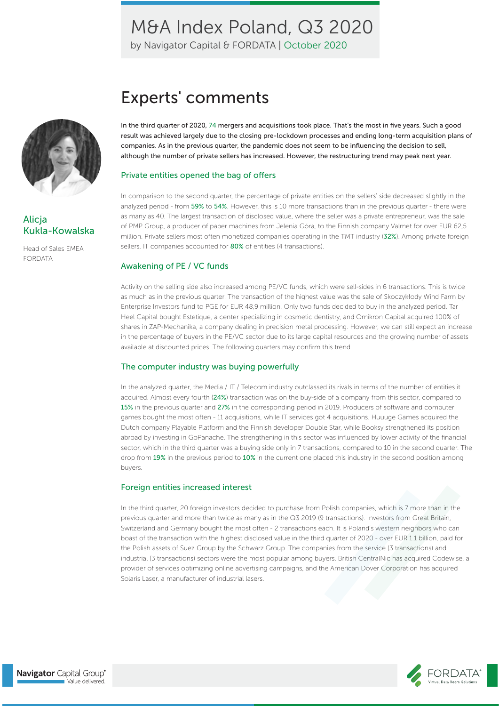by Navigator Capital & FORDATA | October 2020



### Alicja Kukla-Kowalska

Head of Sales EMEA FORDATA

# Experts' comments

In the third quarter of 2020, 74 mergers and acquisitions took place. That's the most in five years. Such a good result was achieved largely due to the closing pre-lockdown processes and ending long-term acquisition plans of companies. As in the previous quarter, the pandemic does not seem to be influencing the decision to sell, although the number of private sellers has increased. However, the restructuring trend may peak next year.

#### Private entities opened the bag of offers

In comparison to the second quarter, the percentage of private entities on the sellers' side decreased slightly in the analyzed period - from 59% to 54%. However, this is 10 more transactions than in the previous quarter - there were as many as 40. The largest transaction of disclosed value, where the seller was a private entrepreneur, was the sale of PMP Group, a producer of paper machines from Jelenia Góra, to the Finnish company Valmet for over EUR 62,5 million. Private sellers most often monetized companies operating in the TMT industry (32%). Among private foreign sellers, IT companies accounted for 80% of entities (4 transactions).

#### Awakening of PE / VC funds

Activity on the selling side also increased among PE/VC funds, which were sell-sides in 6 transactions. This is twice as much as in the previous quarter. The transaction of the highest value was the sale of Skoczykłody Wind Farm by Enterprise Investors fund to PGE for EUR 48,9 million. Only two funds decided to buy in the analyzed period. Tar Heel Capital bought Estetique, a center specializing in cosmetic dentistry, and Omikron Capital acquired 100% of shares in ZAP-Mechanika, a company dealing in precision metal processing. However, we can still expect an increase in the percentage of buyers in the PE/VC sector due to its large capital resources and the growing number of assets available at discounted prices. The following quarters may confirm this trend.

#### The computer industry was buying powerfully

In the analyzed quarter, the Media / IT / Telecom industry outclassed its rivals in terms of the number of entities it acquired. Almost every fourth (24%) transaction was on the buy-side of a company from this sector, compared to 15% in the previous quarter and 27% in the corresponding period in 2019. Producers of software and computer games bought the most often - 11 acquisitions, while IT services got 4 acquisitions. Huuuge Games acquired the Dutch company Playable Platform and the Finnish developer Double Star, while Booksy strengthened its position abroad by investing in GoPanache. The strengthening in this sector was influenced by lower activity of the financial sector, which in the third quarter was a buying side only in 7 transactions, compared to 10 in the second quarter. The drop from 19% in the previous period to 10% in the current one placed this industry in the second position among buyers.

#### Foreign entities increased interest

In the third quarter, 20 foreign investors decided to purchase from Polish companies, which is 7 more than in the previous quarter and more than twice as many as in the Q3 2019 (9 transactions). Investors from Great Britain, Switzerland and Germany bought the most often - 2 transactions each. It is Poland's western neighbors who can boast of the transaction with the highest disclosed value in the third quarter of 2020 - over EUR 1.1 billion, paid for the Polish assets of Suez Group by the Schwarz Group. The companies from the service (3 transactions) and industrial (3 transactions) sectors were the most popular among buyers. British CentralNic has acquired Codewise, a provider of services optimizing online advertising campaigns, and the American Dover Corporation has acquired Solaris Laser, a manufacturer of industrial lasers.

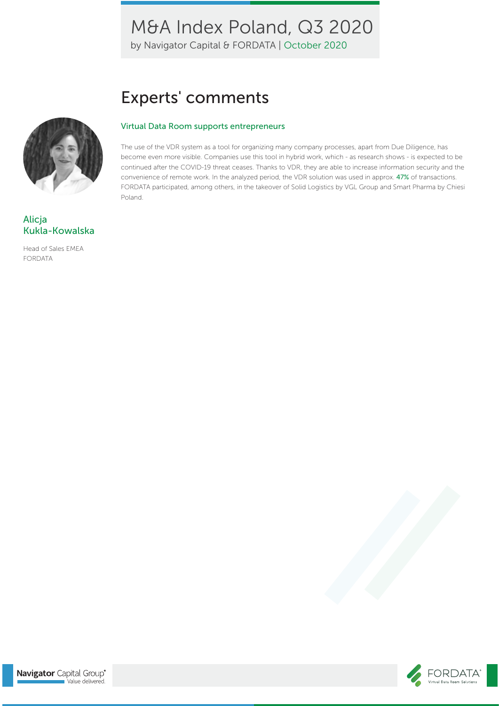by Navigator Capital & FORDATA | October 2020

# Experts' comments

#### Virtual Data Room supports entrepreneurs

The use of the VDR system as a tool for organizing many company processes, apart from Due Diligence, has become even more visible. Companies use this tool in hybrid work, which - as research shows - is expected to be continued after the COVID-19 threat ceases. Thanks to VDR, they are able to increase information security and the convenience of remote work. In the analyzed period, the VDR solution was used in approx. 47% of transactions. FORDATA participated, among others, in the takeover of Solid Logistics by VGL Group and Smart Pharma by Chiesi Poland.



### Alicja Kukla-Kowalska

Head of Sales EMEA FORDATA